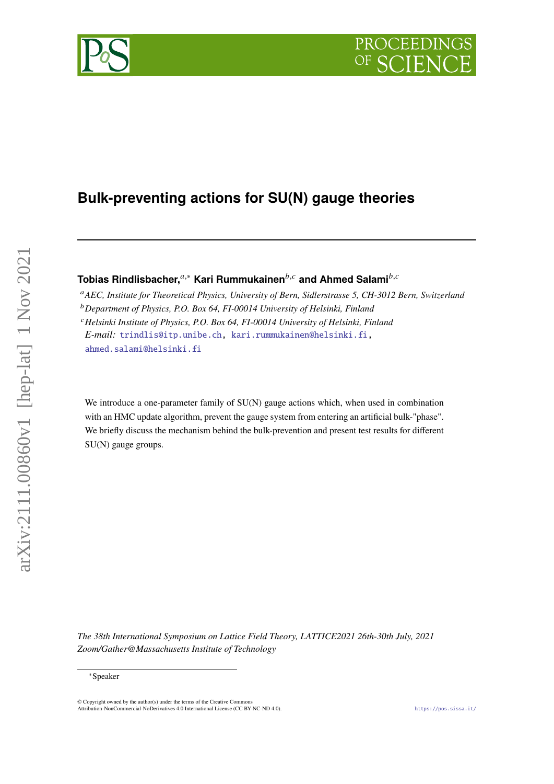# **Bulk-preventing actions for SU(N) gauge theories**

Tobias Rindlisbacher,<sup>*a*,∗</sup> Kari Rummukainen<sup>*b,c*</sup> and Ahmed Salami<sup>*b,c*</sup>

*AEC, Institute for Theoretical Physics, University of Bern, Sidlerstrasse 5, CH-3012 Bern, Switzerland Department of Physics, P.O. Box 64, FI-00014 University of Helsinki, Finland Helsinki Institute of Physics, P.O. Box 64, FI-00014 University of Helsinki, Finland E-mail:* [trindlis@itp.unibe.ch,](mailto:trindlis@itp.unibe.ch) [kari.rummukainen@helsinki.fi,](mailto:kari.rummukainen@helsinki.fi) [ahmed.salami@helsinki.fi](mailto:ahmed.salami@helsinki.fi)

We introduce a one-parameter family of SU(N) gauge actions which, when used in combination with an HMC update algorithm, prevent the gauge system from entering an artificial bulk-"phase". We briefly discuss the mechanism behind the bulk-prevention and present test results for different SU(N) gauge groups.

*The 38th International Symposium on Lattice Field Theory, LATTICE2021 26th-30th July, 2021 Zoom/Gather@Massachusetts Institute of Technology*

<sup>∗</sup>Speaker

arXiv:2111.00860v1 [hep-lat] 1 Nov 2021

 $a:Xiv:2111.00860v1$  [hep-lat]  $1 Nov 2021$ 

© Copyright owned by the author(s) under the terms of the Creative Common Attribution-NonCommercial-NoDerivatives 4.0 International License (CC BY-NC-ND 4.0). <https://pos.sissa.it/>

PROCEEDIN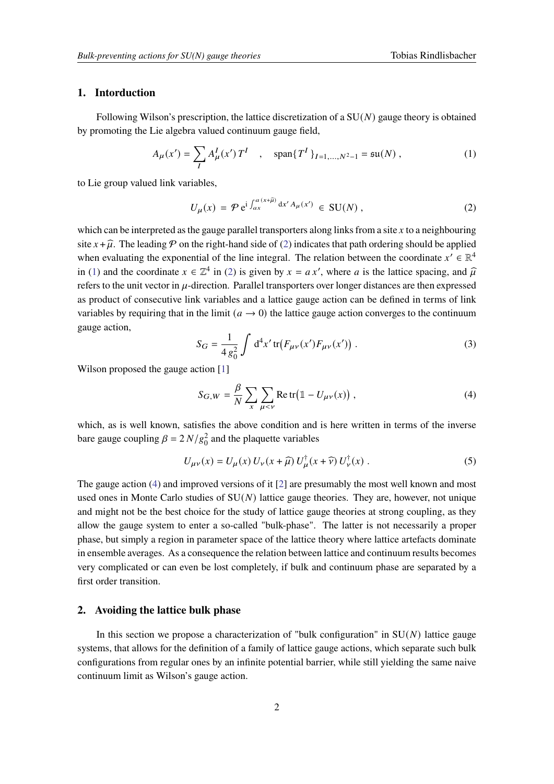# **1. Intorduction**

Following Wilson's prescription, the lattice discretization of a  $SU(N)$  gauge theory is obtained by promoting the Lie algebra valued continuum gauge field,

<span id="page-1-1"></span>
$$
A_{\mu}(x') = \sum_{I} A_{\mu}^{I}(x') T^{I} \quad , \quad \text{span}\{T^{I}\}_{I=1,...,N^{2}-1} = \text{su}(N) , \tag{1}
$$

to Lie group valued link variables,

<span id="page-1-0"></span>
$$
U_{\mu}(x) = \mathcal{P} e^{i \int_{ax}^{a(x+\hat{\mu})} dx' A_{\mu}(x')} \in SU(N) , \qquad (2)
$$

which can be interpreted as the gauge parallel transporters along links from a site  $x$  to a neighbouring site  $x + \hat{\mu}$ . The leading  $\hat{P}$  on the right-hand side of [\(2\)](#page-1-0) indicates that path ordering should be applied when evaluating the exponential of the line integral. The relation between the coordinate  $x' \in \mathbb{R}^4$ in [\(1\)](#page-1-1) and the coordinate  $x \in \mathbb{Z}^4$  in [\(2\)](#page-1-0) is given by  $x = ax'$ , where a is the lattice spacing, and  $\hat{\mu}$ refers to the unit vector in  $\mu$ -direction. Parallel transporters over longer distances are then expressed as product of consecutive link variables and a lattice gauge action can be defined in terms of link variables by requiring that in the limit  $(a \rightarrow 0)$  the lattice gauge action converges to the continuum gauge action,

$$
S_G = \frac{1}{4 g_0^2} \int d^4 x' \, \text{tr} \big( F_{\mu\nu}(x') F_{\mu\nu}(x') \big) \,. \tag{3}
$$

Wilson proposed the gauge action [\[1\]](#page-8-0)

<span id="page-1-2"></span>
$$
S_{G,W} = \frac{\beta}{N} \sum_{x} \sum_{\mu < \nu} \text{Re tr} \big( \mathbb{1} - U_{\mu\nu}(x) \big) \,, \tag{4}
$$

which, as is well known, satisfies the above condition and is here written in terms of the inverse bare gauge coupling  $\beta = 2 N/g_0^2$  and the plaquette variables

$$
U_{\mu\nu}(x) = U_{\mu}(x) U_{\nu}(x+\widehat{\mu}) U_{\mu}^{\dagger}(x+\widehat{\nu}) U_{\nu}^{\dagger}(x) . \tag{5}
$$

The gauge action [\(4\)](#page-1-2) and improved versions of it [\[2\]](#page-8-1) are presumably the most well known and most used ones in Monte Carlo studies of  $SU(N)$  lattice gauge theories. They are, however, not unique and might not be the best choice for the study of lattice gauge theories at strong coupling, as they allow the gauge system to enter a so-called "bulk-phase". The latter is not necessarily a proper phase, but simply a region in parameter space of the lattice theory where lattice artefacts dominate in ensemble averages. As a consequence the relation between lattice and continuum results becomes very complicated or can even be lost completely, if bulk and continuum phase are separated by a first order transition.

# <span id="page-1-3"></span>**2. Avoiding the lattice bulk phase**

In this section we propose a characterization of "bulk configuration" in  $SU(N)$  lattice gauge systems, that allows for the definition of a family of lattice gauge actions, which separate such bulk configurations from regular ones by an infinite potential barrier, while still yielding the same naive continuum limit as Wilson's gauge action.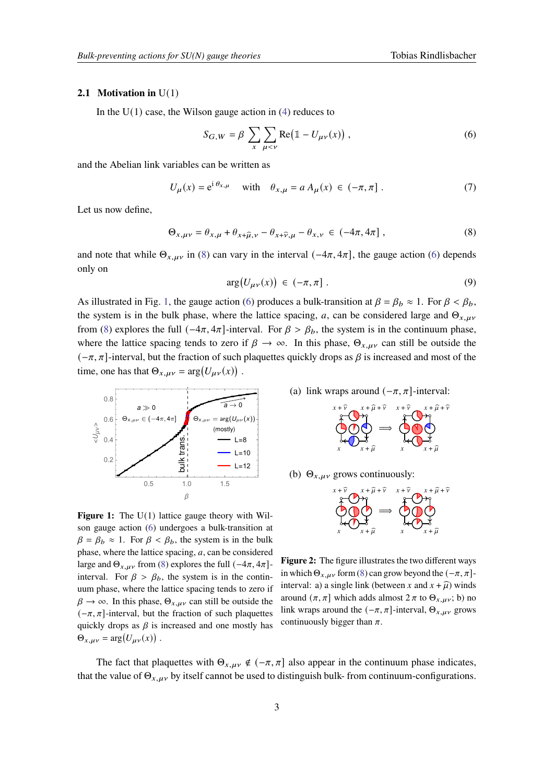#### <span id="page-2-5"></span>**2.1 Motivation in** U(1)

In the  $U(1)$  case, the Wilson gauge action in [\(4\)](#page-1-2) reduces to

<span id="page-2-1"></span>
$$
S_{G,W} = \beta \sum_{x} \sum_{\mu < \nu} \text{Re} \big( \mathbb{1} - U_{\mu\nu}(x) \big) \,, \tag{6}
$$

and the Abelian link variables can be written as

$$
U_{\mu}(x) = e^{i \theta_{x,\mu}} \quad \text{with} \quad \theta_{x,\mu} = a A_{\mu}(x) \in (-\pi, \pi] \ . \tag{7}
$$

Let us now define,

<span id="page-2-0"></span>
$$
\Theta_{x,\mu\nu} = \theta_{x,\mu} + \theta_{x+\hat{\mu},\nu} - \theta_{x+\hat{\nu},\mu} - \theta_{x,\nu} \in (-4\pi, 4\pi] ,
$$
 (8)

and note that while  $\Theta_{x,\mu\nu}$  in [\(8\)](#page-2-0) can vary in the interval ( $-4\pi$ ,  $4\pi$ ), the gauge action [\(6\)](#page-2-1) depends only on

$$
\arg(U_{\mu\nu}(x)) \in (-\pi, \pi] \tag{9}
$$

As illustrated in Fig. [1,](#page-2-2) the gauge action [\(6\)](#page-2-1) produces a bulk-transition at  $\beta = \beta_b \approx 1$ . For  $\beta < \beta_b$ , the system is in the bulk phase, where the lattice spacing, a, can be considered large and  $\Theta_{x,\mu\nu}$ from [\(8\)](#page-2-0) explores the full  $(-4\pi, 4\pi]$ -interval. For  $\beta > \beta_b$ , the system is in the continuum phase, where the lattice spacing tends to zero if  $\beta \to \infty$ . In this phase,  $\Theta_{x,\mu\nu}$  can still be outside the  $(-\pi, \pi]$ -interval, but the fraction of such plaquettes quickly drops as  $\beta$  is increased and most of the time, one has that  $\Theta_{x,\mu\nu} = \arg(U_{\mu\nu}(x))$ .

<span id="page-2-2"></span>

**Figure 1:** The U(1) lattice gauge theory with Wilson gauge action [\(6\)](#page-2-1) undergoes a bulk-transition at  $\beta = \beta_b \approx 1$ . For  $\beta < \beta_b$ , the system is in the bulk phase, where the lattice spacing,  $a$ , can be considered large and  $\Theta_{x,\mu\nu}$  from [\(8\)](#page-2-0) explores the full  $(-4\pi, 4\pi]$ interval. For  $\beta > \beta_h$ , the system is in the continuum phase, where the lattice spacing tends to zero if  $\beta \rightarrow \infty$ . In this phase,  $\Theta_{x,\mu\nu}$  can still be outside the  $(-\pi, \pi]$ -interval, but the fraction of such plaquettes quickly drops as  $\beta$  is increased and one mostly has  $\Theta_{x,\mu\nu} = \arg(U_{\mu\nu}(x))$ .

<span id="page-2-3"></span>(a) link wraps around  $(-\pi, \pi]$ -interval:

$$
\bigoplus_{x}^{x+\widehat{\nu}} \bigoplus_{x+\widehat{\mu}}^{x+\widehat{\mu}+\widehat{\nu}} \longrightarrow \bigoplus_{x}^{x+\widehat{\nu}} \bigoplus_{x+\widehat{\mu}}^{x+\widehat{\mu}+\widehat{\nu}}
$$

<span id="page-2-4"></span>(b)  $\Theta_{x,\mu\nu}$  grows continuously:



**Figure 2:** The figure illustrates the two different ways in which  $\Theta_{x,\mu\nu}$  form [\(8\)](#page-2-0) can grow beyond the  $(-\pi, \pi]$ interval: a) a single link (between x and  $x + \hat{\mu}$ ) winds around  $(\pi, \pi]$  which adds almost  $2 \pi$  to  $\Theta_{x,\mu\nu}$ ; b) no link wraps around the  $(-\pi, \pi]$ -interval,  $\Theta_{x,\mu\nu}$  grows continuously bigger than  $\pi$ .

The fact that plaquettes with  $\Theta_{x, \mu y} \notin (-\pi, \pi]$  also appear in the continuum phase indicates, that the value of  $\Theta_{x,\mu\nu}$  by itself cannot be used to distinguish bulk- from continuum-configurations.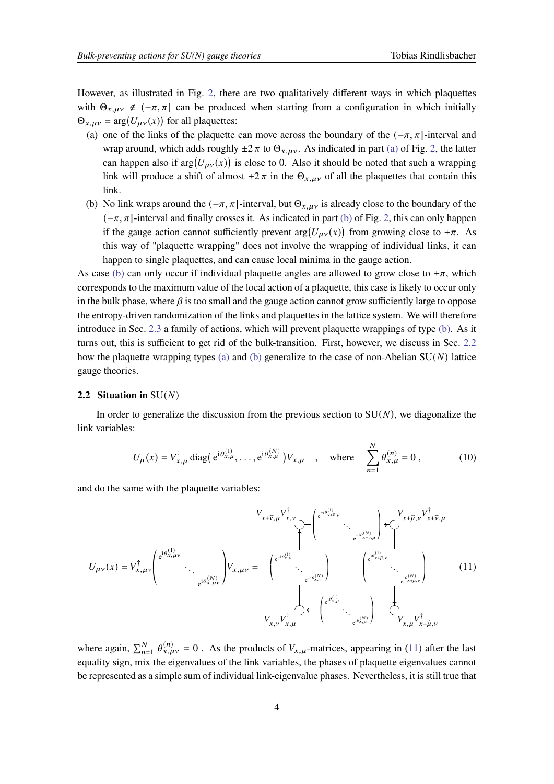However, as illustrated in Fig. [2,](#page-2-2) there are two qualitatively different ways in which plaquettes with  $\Theta_{x,\mu\nu} \notin (-\pi, \pi]$  can be produced when starting from a configuration in which initially  $\Theta_{x,\mu\nu} = \arg(U_{\mu\nu}(x))$  for all plaquettes:

- <span id="page-3-2"></span>(a) one of the links of the plaquette can move across the boundary of the  $(-\pi, \pi]$ -interval and wrap around, which adds roughly  $\pm 2 \pi$  to  $\Theta_{x,\mu\nu}$ . As indicated in part [\(a\)](#page-2-3) of Fig. [2,](#page-2-2) the latter can happen also if  $arg(U_{\mu\nu}(x))$  is close to 0. Also it should be noted that such a wrapping link will produce a shift of almost  $\pm 2 \pi$  in the  $\Theta_{x,\mu\nu}$  of all the plaquettes that contain this link.
- <span id="page-3-0"></span>(b) No link wraps around the  $(-\pi, \pi]$ -interval, but  $\Theta_{x, \mu\nu}$  is already close to the boundary of the  $(-\pi, \pi]$ -interval and finally crosses it. As indicated in part [\(b\)](#page-2-4) of Fig. [2,](#page-2-2) this can only happen if the gauge action cannot sufficiently prevent  $arg(U_{\mu\nu}(x))$  from growing close to  $\pm \pi$ . As this way of "plaquette wrapping" does not involve the wrapping of individual links, it can happen to single plaquettes, and can cause local minima in the gauge action.

As case [\(b\)](#page-3-0) can only occur if individual plaquette angles are allowed to grow close to  $\pm \pi$ , which corresponds to the maximum value of the local action of a plaquette, this case is likely to occur only in the bulk phase, where  $\beta$  is too small and the gauge action cannot grow sufficiently large to oppose the entropy-driven randomization of the links and plaquettes in the lattice system. We will therefore introduce in Sec. [2.3](#page-4-0) a family of actions, which will prevent plaquette wrappings of type [\(b\).](#page-3-0) As it turns out, this is sufficient to get rid of the bulk-transition. First, however, we discuss in Sec. [2.2](#page-3-1) how the plaquette wrapping types [\(a\)](#page-3-2) and [\(b\)](#page-3-0) generalize to the case of non-Abelian  $SU(N)$  lattice gauge theories.

#### <span id="page-3-1"></span>**2.2 Situation in**  $SU(N)$

In order to generalize the discussion from the previous section to  $SU(N)$ , we diagonalize the link variables:

$$
U_{\mu}(x) = V_{x,\mu}^{\dagger} \operatorname{diag} (e^{i\theta_{x,\mu}^{(1)}}, \dots, e^{i\theta_{x,\mu}^{(N)}}) V_{x,\mu} \quad , \quad \text{where} \quad \sum_{n=1}^{N} \theta_{x,\mu}^{(n)} = 0 , \quad (10)
$$

and do the same with the plaquette variables:

<span id="page-3-3"></span>
$$
U_{\mu\nu}(x) = V_{x,\mu\nu}^{\dagger} \left( e^{i\theta_{x,\mu\nu}^{(1)}}, \dots, e^{i\theta_{x,\mu\nu}^{(N)}} \right) V_{x,\mu\nu} = \left( e^{-i\theta_{x,\nu}^{(1)}}, \dots, e^{-i\theta_{x,\nu}^{(N)}} \right) \left( e^{i\theta_{x,\mu}^{(1)}}, \dots, e^{-i\theta_{x,\mu}^{(N)}} \right) V_{x,\mu\nu} = \left( e^{-i\theta_{x,\mu}^{(1)}}, \dots, e^{-i\theta_{x,\mu}^{(N)}} \right) \left( e^{i\theta_{x,\mu}^{(1)}}, \dots, e^{i\theta_{x,\mu}^{(N)}} \right) \left( e^{i\theta_{x,\mu}^{(1)}}, \dots, e^{-i\theta_{x,\mu}^{(N)}} \right) \left( e^{i\theta_{x,\mu}^{(1)}}, \dots, e^{-i\theta_{x,\mu}^{(N)}} \right) V_{x,\mu} V_{x,\mu}^{\dagger} \right)
$$
(11)

where again,  $\sum_{n=1}^{N} \theta_{x,\mu\nu}^{(n)} = 0$ . As the products of  $V_{x,\mu}$ -matrices, appearing in [\(11\)](#page-3-3) after the last equality sign, mix the eigenvalues of the link variables, the phases of plaquette eigenvalues cannot be represented as a simple sum of individual link-eigenvalue phases. Nevertheless, it is still true that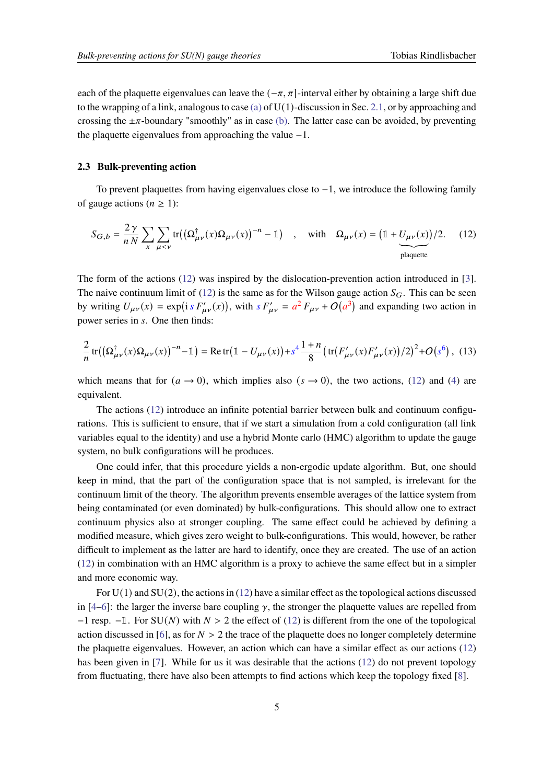each of the plaquette eigenvalues can leave the  $(-\pi, \pi]$ -interval either by obtaining a large shift due to the wrapping of a link, analogous to case [\(a\)](#page-3-2) of  $U(1)$ -discussion in Sec. [2.1,](#page-2-5) or by approaching and crossing the  $\pm \pi$ -boundary "smoothly" as in case [\(b\).](#page-3-0) The latter case can be avoided, by preventing the plaquette eigenvalues from approaching the value −1.

#### <span id="page-4-0"></span>**2.3 Bulk-preventing action**

To prevent plaquettes from having eigenvalues close to  $-1$ , we introduce the following family of gauge actions ( $n \geq 1$ ):

<span id="page-4-1"></span>
$$
S_{G,b} = \frac{2\gamma}{nN} \sum_{x} \sum_{\mu < \nu} \text{tr}\left(\left(\Omega_{\mu\nu}^{\dagger}(x)\Omega_{\mu\nu}(x)\right)^{-n} - \mathbb{1}\right) \quad , \quad \text{with} \quad \Omega_{\mu\nu}(x) = \left(\mathbb{1} + \underbrace{U_{\mu\nu}(x)}_{\text{plaquette}}\right)/2. \tag{12}
$$

The form of the actions [\(12\)](#page-4-1) was inspired by the dislocation-prevention action introduced in [\[3\]](#page-8-2). The naive continuum limit of [\(12\)](#page-4-1) is the same as for the Wilson gauge action  $S_G$ . This can be seen by writing  $U_{\mu\nu}(x) = \exp(i s F'_{\mu\nu}(x))$ , with  $s F'_{\mu\nu} = a^2 F_{\mu\nu} + O(a^3)$  and expanding two action in power series in s. One then finds:

<span id="page-4-2"></span>
$$
\frac{2}{n}\operatorname{tr}\left(\left(\Omega_{\mu\nu}^{\dagger}(x)\Omega_{\mu\nu}(x)\right)^{-n}-1\right)=\operatorname{Re}\operatorname{tr}\left(1-U_{\mu\nu}(x)\right)+s^{4}\frac{1+n}{8}\left(\operatorname{tr}\left(F_{\mu\nu}'(x)F_{\mu\nu}'(x)\right)/2\right)^{2}+O\left(s^{6}\right),\tag{13}
$$

which means that for  $(a \to 0)$ , which implies also  $(s \to 0)$ , the two actions, [\(12\)](#page-4-1) and [\(4\)](#page-1-2) are equivalent.

The actions [\(12\)](#page-4-1) introduce an infinite potential barrier between bulk and continuum configurations. This is sufficient to ensure, that if we start a simulation from a cold configuration (all link variables equal to the identity) and use a hybrid Monte carlo (HMC) algorithm to update the gauge system, no bulk configurations will be produces.

One could infer, that this procedure yields a non-ergodic update algorithm. But, one should keep in mind, that the part of the configuration space that is not sampled, is irrelevant for the continuum limit of the theory. The algorithm prevents ensemble averages of the lattice system from being contaminated (or even dominated) by bulk-configurations. This should allow one to extract continuum physics also at stronger coupling. The same effect could be achieved by defining a modified measure, which gives zero weight to bulk-configurations. This would, however, be rather difficult to implement as the latter are hard to identify, once they are created. The use of an action [\(12\)](#page-4-1) in combination with an HMC algorithm is a proxy to achieve the same effect but in a simpler and more economic way.

For  $U(1)$  and  $SU(2)$ , the actions in [\(12\)](#page-4-1) have a similar effect as the topological actions discussed in [\[4–](#page-8-3)[6\]](#page-8-4): the larger the inverse bare coupling  $\gamma$ , the stronger the plaquette values are repelled from  $-1$  resp.  $-1$ . For SU(N) with  $N > 2$  the effect of [\(12\)](#page-4-1) is different from the one of the topological action discussed in [\[6\]](#page-8-4), as for  $N > 2$  the trace of the plaquette does no longer completely determine the plaquette eigenvalues. However, an action which can have a similar effect as our actions [\(12\)](#page-4-1) has been given in [\[7\]](#page-8-5). While for us it was desirable that the actions [\(12\)](#page-4-1) do not prevent topology from fluctuating, there have also been attempts to find actions which keep the topology fixed [\[8\]](#page-8-6).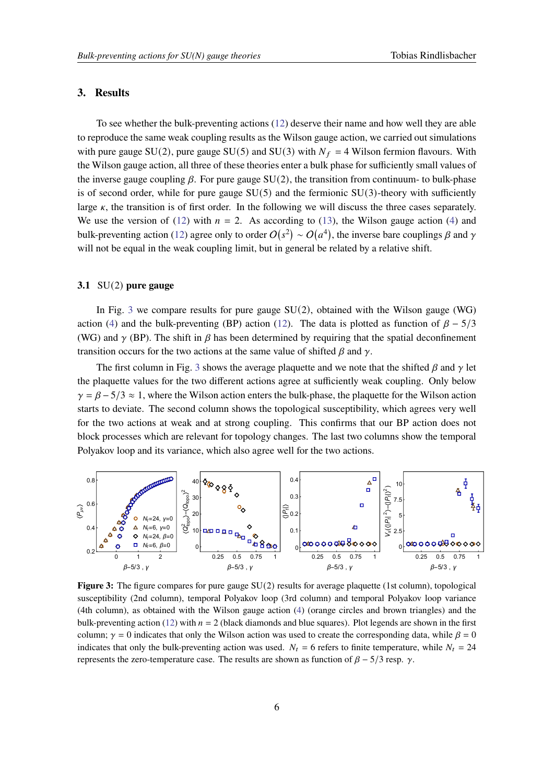#### <span id="page-5-1"></span>**3. Results**

To see whether the bulk-preventing actions [\(12\)](#page-4-1) deserve their name and how well they are able to reproduce the same weak coupling results as the Wilson gauge action, we carried out simulations with pure gauge SU(2), pure gauge SU(5) and SU(3) with  $N_f = 4$  Wilson fermion flavours. With the Wilson gauge action, all three of these theories enter a bulk phase for sufficiently small values of the inverse gauge coupling  $\beta$ . For pure gauge SU(2), the transition from continuum- to bulk-phase is of second order, while for pure gauge  $SU(5)$  and the fermionic  $SU(3)$ -theory with sufficiently large  $\kappa$ , the transition is of first order. In the following we will discuss the three cases separately. We use the version of [\(12\)](#page-4-1) with  $n = 2$ . As according to [\(13\)](#page-4-2), the Wilson gauge action [\(4\)](#page-1-2) and bulk-preventing action [\(12\)](#page-4-1) agree only to order  $O(s^2) \sim O(a^4)$ , the inverse bare couplings  $\beta$  and  $\gamma$ will not be equal in the weak coupling limit, but in general be related by a relative shift.

#### **3.1** SU(2) **pure gauge**

In Fig. [3](#page-5-0) we compare results for pure gauge  $SU(2)$ , obtained with the Wilson gauge (WG) action [\(4\)](#page-1-2) and the bulk-preventing (BP) action [\(12\)](#page-4-1). The data is plotted as function of  $\beta - 5/3$ (WG) and  $\gamma$  (BP). The shift in  $\beta$  has been determined by requiring that the spatial deconfinement transition occurs for the two actions at the same value of shifted  $\beta$  and  $\gamma$ .

The first column in Fig. [3](#page-5-0) shows the average plaquette and we note that the shifted  $\beta$  and  $\gamma$  let the plaquette values for the two different actions agree at sufficiently weak coupling. Only below  $\gamma = \beta - 5/3 \approx 1$ , where the Wilson action enters the bulk-phase, the plaquette for the Wilson action starts to deviate. The second column shows the topological susceptibility, which agrees very well for the two actions at weak and at strong coupling. This confirms that our BP action does not block processes which are relevant for topology changes. The last two columns show the temporal Polyakov loop and its variance, which also agree well for the two actions.

<span id="page-5-0"></span>

**Figure 3:** The figure compares for pure gauge SU(2) results for average plaquette (1st column), topological susceptibility (2nd column), temporal Polyakov loop (3rd column) and temporal Polyakov loop variance (4th column), as obtained with the Wilson gauge action [\(4\)](#page-1-2) (orange circles and brown triangles) and the bulk-preventing action [\(12\)](#page-4-1) with  $n = 2$  (black diamonds and blue squares). Plot legends are shown in the first column;  $\gamma = 0$  indicates that only the Wilson action was used to create the corresponding data, while  $\beta = 0$ indicates that only the bulk-preventing action was used.  $N_t = 6$  refers to finite temperature, while  $N_t = 24$ represents the zero-temperature case. The results are shown as function of  $\beta - \frac{5}{3}$  resp.  $\gamma$ .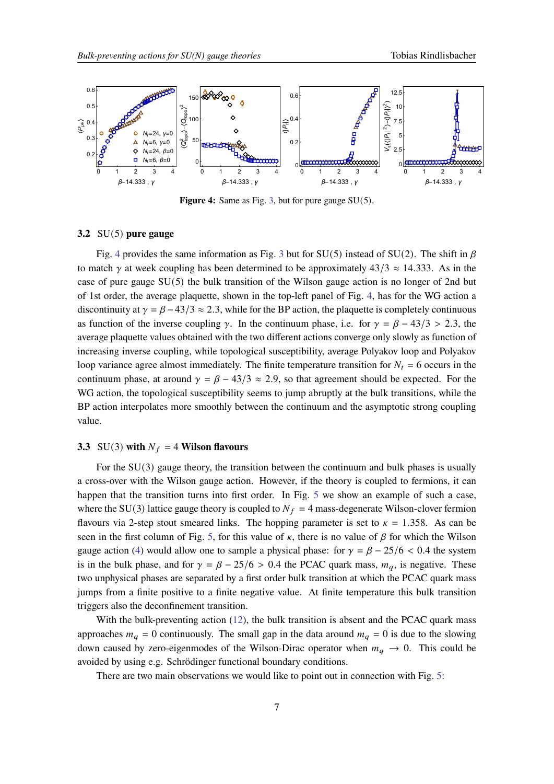<span id="page-6-0"></span>

**Figure 4:** Same as Fig. [3,](#page-5-0) but for pure gauge SU(5).

#### **3.2** SU(5) **pure gauge**

Fig. [4](#page-6-0) provides the same information as Fig. [3](#page-5-0) but for SU(5) instead of SU(2). The shift in  $\beta$ to match  $\gamma$  at week coupling has been determined to be approximately 43/3  $\approx$  14.333. As in the case of pure gauge SU(5) the bulk transition of the Wilson gauge action is no longer of 2nd but of 1st order, the average plaquette, shown in the top-left panel of Fig. [4,](#page-6-0) has for the WG action a discontinuity at  $\gamma = \beta - 43/3 \approx 2.3$ , while for the BP action, the plaquette is completely continuous as function of the inverse coupling  $\gamma$ . In the continuum phase, i.e. for  $\gamma = \beta - 43/3 > 2.3$ , the average plaquette values obtained with the two different actions converge only slowly as function of increasing inverse coupling, while topological susceptibility, average Polyakov loop and Polyakov loop variance agree almost immediately. The finite temperature transition for  $N_t = 6$  occurs in the continuum phase, at around  $\gamma = \beta - 43/3 \approx 2.9$ , so that agreement should be expected. For the WG action, the topological susceptibility seems to jump abruptly at the bulk transitions, while the BP action interpolates more smoothly between the continuum and the asymptotic strong coupling value.

#### **3.3** SU(3) with  $N_f = 4$  Wilson flavours

For the SU(3) gauge theory, the transition between the continuum and bulk phases is usually a cross-over with the Wilson gauge action. However, if the theory is coupled to fermions, it can happen that the transition turns into first order. In Fig. [5](#page-7-0) we show an example of such a case, where the SU(3) lattice gauge theory is coupled to  $N_f = 4$  mass-degenerate Wilson-clover fermion flavours via 2-step stout smeared links. The hopping parameter is set to  $\kappa = 1.358$ . As can be seen in the first column of Fig. [5,](#page-7-0) for this value of  $\kappa$ , there is no value of  $\beta$  for which the Wilson gauge action [\(4\)](#page-1-2) would allow one to sample a physical phase: for  $\gamma = \beta - 25/6 < 0.4$  the system is in the bulk phase, and for  $\gamma = \beta - 25/6 > 0.4$  the PCAC quark mass,  $m_a$ , is negative. These two unphysical phases are separated by a first order bulk transition at which the PCAC quark mass jumps from a finite positive to a finite negative value. At finite temperature this bulk transition triggers also the deconfinement transition.

With the bulk-preventing action [\(12\)](#page-4-1), the bulk transition is absent and the PCAC quark mass approaches  $m_q = 0$  continuously. The small gap in the data around  $m_q = 0$  is due to the slowing down caused by zero-eigenmodes of the Wilson-Dirac operator when  $m_q \to 0$ . This could be avoided by using e.g. Schrödinger functional boundary conditions.

There are two main observations we would like to point out in connection with Fig. [5:](#page-7-0)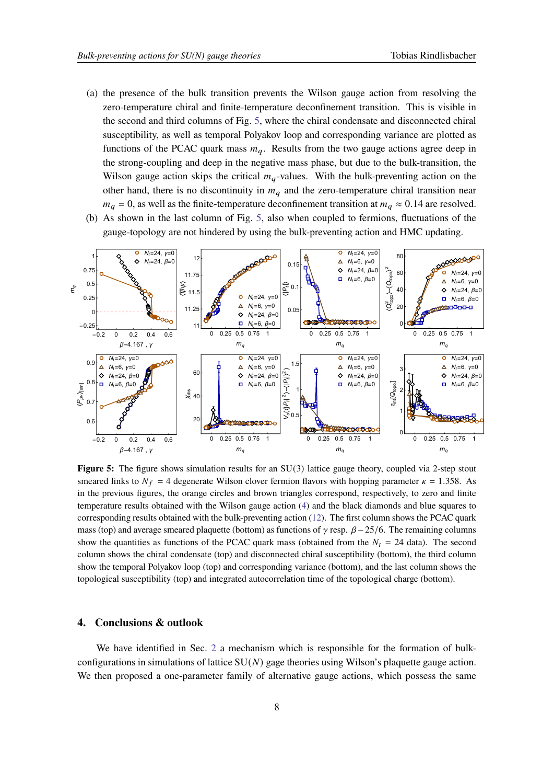- (a) the presence of the bulk transition prevents the Wilson gauge action from resolving the zero-temperature chiral and finite-temperature deconfinement transition. This is visible in the second and third columns of Fig. [5,](#page-7-0) where the chiral condensate and disconnected chiral susceptibility, as well as temporal Polyakov loop and corresponding variance are plotted as functions of the PCAC quark mass  $m_q$ . Results from the two gauge actions agree deep in the strong-coupling and deep in the negative mass phase, but due to the bulk-transition, the Wilson gauge action skips the critical  $m_q$ -values. With the bulk-preventing action on the other hand, there is no discontinuity in  $m<sub>a</sub>$  and the zero-temperature chiral transition near  $m_a = 0$ , as well as the finite-temperature deconfinement transition at  $m_a \approx 0.14$  are resolved.
- (b) As shown in the last column of Fig. [5,](#page-7-0) also when coupled to fermions, fluctuations of the gauge-topology are not hindered by using the bulk-preventing action and HMC updating.

<span id="page-7-0"></span>

**Figure 5:** The figure shows simulation results for an SU(3) lattice gauge theory, coupled via 2-step stout smeared links to  $N_f = 4$  degenerate Wilson clover fermion flavors with hopping parameter  $\kappa = 1.358$ . As in the previous figures, the orange circles and brown triangles correspond, respectively, to zero and finite temperature results obtained with the Wilson gauge action [\(4\)](#page-1-2) and the black diamonds and blue squares to corresponding results obtained with the bulk-preventing action [\(12\)](#page-4-1). The first column shows the PCAC quark mass (top) and average smeared plaquette (bottom) as functions of  $\gamma$  resp.  $\beta - 25/6$ . The remaining columns show the quantities as functions of the PCAC quark mass (obtained from the  $N_t = 24$  data). The second column shows the chiral condensate (top) and disconnected chiral susceptibility (bottom), the third column show the temporal Polyakov loop (top) and corresponding variance (bottom), and the last column shows the topological susceptibility (top) and integrated autocorrelation time of the topological charge (bottom).

### **4. Conclusions & outlook**

We have identified in Sec. [2](#page-1-3) a mechanism which is responsible for the formation of bulkconfigurations in simulations of lattice  $SU(N)$  gage theories using Wilson's plaquette gauge action. We then proposed a one-parameter family of alternative gauge actions, which possess the same